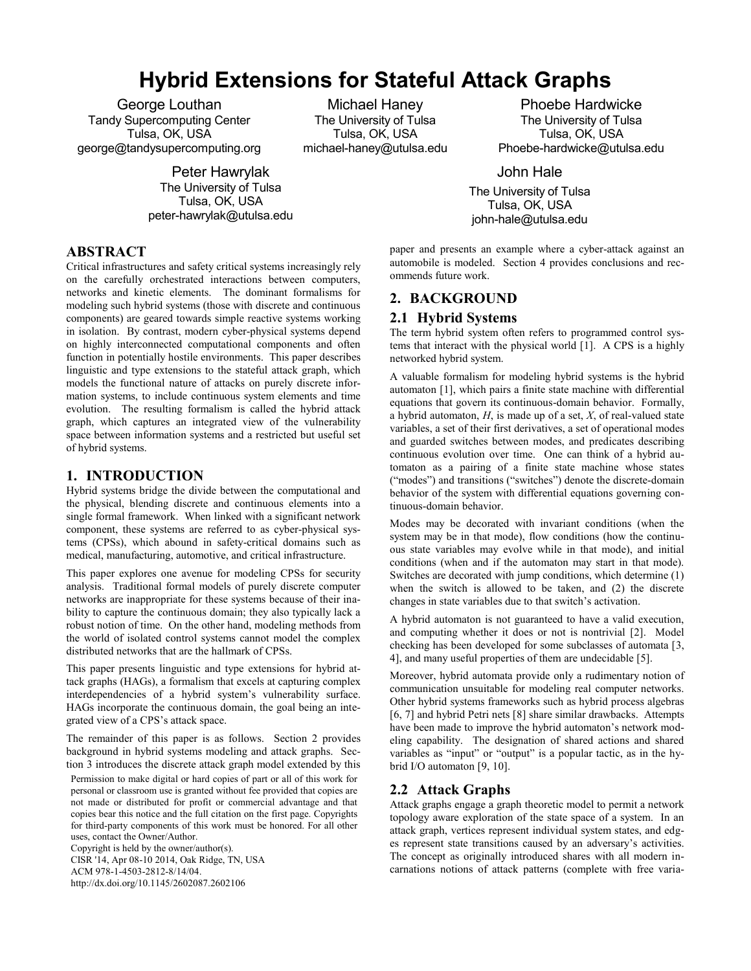# **Hybrid Extensions for Stateful Attack Graphs**

George Louthan Tandy Supercomputing Center Tulsa, OK, USA george@tandysupercomputing.org

> Peter Hawrylak The University of Tulsa Tulsa, OK, USA peter-hawrylak@utulsa.edu

Michael Haney The University of Tulsa Tulsa, OK, USA michael-haney@utulsa.edu

Phoebe Hardwicke The University of Tulsa Tulsa, OK, USA Phoebe-hardwicke@utulsa.edu

John Hale

The University of Tulsa Tulsa, OK, USA john-hale@utulsa.edu

# **ABSTRACT**

Critical infrastructures and safety critical systems increasingly rely on the carefully orchestrated interactions between computers, networks and kinetic elements. The dominant formalisms for modeling such hybrid systems (those with discrete and continuous components) are geared towards simple reactive systems working in isolation. By contrast, modern cyber-physical systems depend on highly interconnected computational components and often function in potentially hostile environments. This paper describes linguistic and type extensions to the stateful attack graph, which models the functional nature of attacks on purely discrete information systems, to include continuous system elements and time evolution. The resulting formalism is called the hybrid attack graph, which captures an integrated view of the vulnerability space between information systems and a restricted but useful set of hybrid systems.

## **1. INTRODUCTION**

Hybrid systems bridge the divide between the computational and the physical, blending discrete and continuous elements into a single formal framework. When linked with a significant network component, these systems are referred to as cyber-physical systems (CPSs), which abound in safety-critical domains such as medical, manufacturing, automotive, and critical infrastructure.

This paper explores one avenue for modeling CPSs for security analysis. Traditional formal models of purely discrete computer networks are inappropriate for these systems because of their inability to capture the continuous domain; they also typically lack a robust notion of time. On the other hand, modeling methods from the world of isolated control systems cannot model the complex distributed networks that are the hallmark of CPSs.

This paper presents linguistic and type extensions for hybrid attack graphs (HAGs), a formalism that excels at capturing complex interdependencies of a hybrid system's vulnerability surface. HAGs incorporate the continuous domain, the goal being an integrated view of a CPS's attack space.

The remainder of this paper is as follows. Section 2 provides background in hybrid systems modeling and attack graphs. Section 3 introduces the discrete attack graph model extended by this

Permission to make digital or hard copies of part or all of this work for personal or classroom use is granted without fee provided that copies are not made or distributed for profit or commercial advantage and that copies bear this notice and the full citation on the first page. Copyrights for third-party components of this work must be honored. For all other uses, contact the Owner/Author.

Copyright is held by the owner/author(s). CISR '14, Apr 08-10 2014, Oak Ridge, TN, USA ACM 978-1-4503-2812-8/14/04. http://dx.doi.org/10.1145/2602087.2602106

paper and presents an example where a cyber-attack against an automobile is modeled. Section 4 provides conclusions and recommends future work.

# **2. BACKGROUND**

#### **2.1 Hybrid Systems**

The term hybrid system often refers to programmed control systems that interact with the physical world [1]. A CPS is a highly networked hybrid system.

A valuable formalism for modeling hybrid systems is the hybrid automaton [1], which pairs a finite state machine with differential equations that govern its continuous-domain behavior. Formally, a hybrid automaton, *H*, is made up of a set, *X*, of real-valued state variables, a set of their first derivatives, a set of operational modes and guarded switches between modes, and predicates describing continuous evolution over time. One can think of a hybrid automaton as a pairing of a finite state machine whose states ("modes") and transitions ("switches") denote the discrete-domain behavior of the system with differential equations governing continuous-domain behavior.

Modes may be decorated with invariant conditions (when the system may be in that mode), flow conditions (how the continuous state variables may evolve while in that mode), and initial conditions (when and if the automaton may start in that mode). Switches are decorated with jump conditions, which determine (1) when the switch is allowed to be taken, and (2) the discrete changes in state variables due to that switch's activation.

A hybrid automaton is not guaranteed to have a valid execution, and computing whether it does or not is nontrivial [2]. Model checking has been developed for some subclasses of automata [3, 4], and many useful properties of them are undecidable [5].

Moreover, hybrid automata provide only a rudimentary notion of communication unsuitable for modeling real computer networks. Other hybrid systems frameworks such as hybrid process algebras [6, 7] and hybrid Petri nets [8] share similar drawbacks. Attempts have been made to improve the hybrid automaton's network modeling capability. The designation of shared actions and shared variables as "input" or "output" is a popular tactic, as in the hybrid I/O automaton [9, 10].

#### **2.2 Attack Graphs**

Attack graphs engage a graph theoretic model to permit a network topology aware exploration of the state space of a system. In an attack graph, vertices represent individual system states, and edges represent state transitions caused by an adversary's activities. The concept as originally introduced shares with all modern incarnations notions of attack patterns (complete with free varia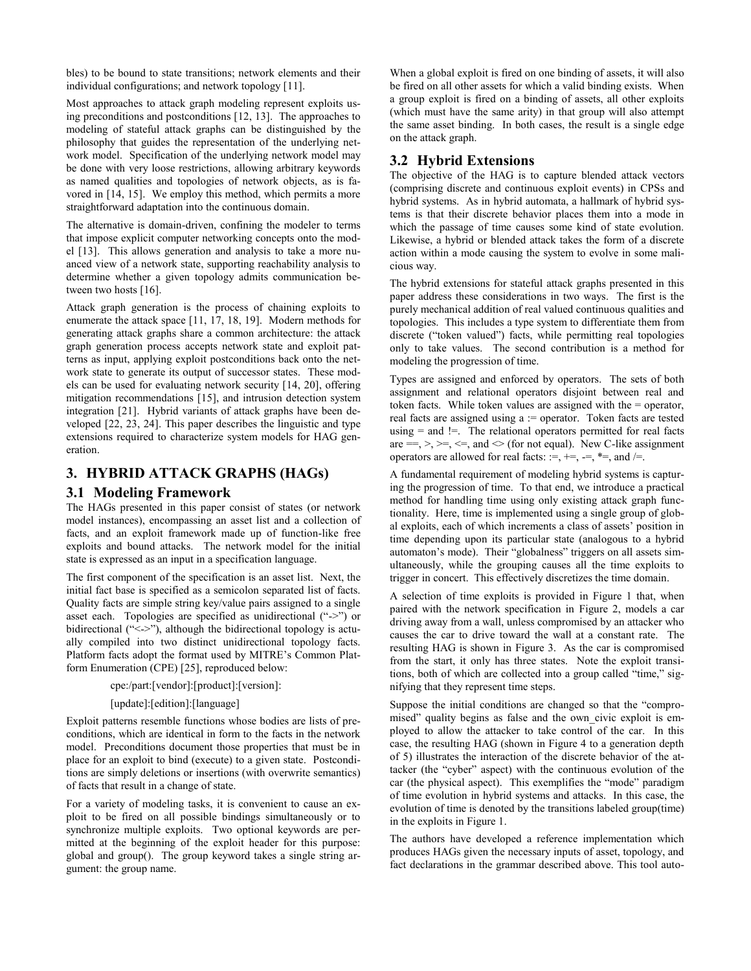bles) to be bound to state transitions; network elements and their individual configurations; and network topology [11].

Most approaches to attack graph modeling represent exploits using preconditions and postconditions [12, 13]. The approaches to modeling of stateful attack graphs can be distinguished by the philosophy that guides the representation of the underlying network model. Specification of the underlying network model may be done with very loose restrictions, allowing arbitrary keywords as named qualities and topologies of network objects, as is favored in [14, 15]. We employ this method, which permits a more straightforward adaptation into the continuous domain.

The alternative is domain-driven, confining the modeler to terms that impose explicit computer networking concepts onto the model [13]. This allows generation and analysis to take a more nuanced view of a network state, supporting reachability analysis to determine whether a given topology admits communication between two hosts [16].

Attack graph generation is the process of chaining exploits to enumerate the attack space [11, 17, 18, 19]. Modern methods for generating attack graphs share a common architecture: the attack graph generation process accepts network state and exploit patterns as input, applying exploit postconditions back onto the network state to generate its output of successor states. These models can be used for evaluating network security [14, 20], offering mitigation recommendations [15], and intrusion detection system integration [21]. Hybrid variants of attack graphs have been developed [22, 23, 24]. This paper describes the linguistic and type extensions required to characterize system models for HAG generation.

# **3. HYBRID ATTACK GRAPHS (HAGs)**

## **3.1 Modeling Framework**

The HAGs presented in this paper consist of states (or network model instances), encompassing an asset list and a collection of facts, and an exploit framework made up of function-like free exploits and bound attacks. The network model for the initial state is expressed as an input in a specification language.

The first component of the specification is an asset list. Next, the initial fact base is specified as a semicolon separated list of facts. Quality facts are simple string key/value pairs assigned to a single asset each. Topologies are specified as unidirectional ("->") or bidirectional ("<->"), although the bidirectional topology is actually compiled into two distinct unidirectional topology facts. Platform facts adopt the format used by MITRE's Common Platform Enumeration (CPE) [25], reproduced below:

#### cpe:/part:[vendor]:[product]:[version]:

#### [update]:[edition]:[language]

Exploit patterns resemble functions whose bodies are lists of preconditions, which are identical in form to the facts in the network model. Preconditions document those properties that must be in place for an exploit to bind (execute) to a given state. Postconditions are simply deletions or insertions (with overwrite semantics) of facts that result in a change of state.

For a variety of modeling tasks, it is convenient to cause an exploit to be fired on all possible bindings simultaneously or to synchronize multiple exploits. Two optional keywords are permitted at the beginning of the exploit header for this purpose: global and group(). The group keyword takes a single string argument: the group name.

When a global exploit is fired on one binding of assets, it will also be fired on all other assets for which a valid binding exists. When a group exploit is fired on a binding of assets, all other exploits (which must have the same arity) in that group will also attempt the same asset binding. In both cases, the result is a single edge on the attack graph.

## **3.2 Hybrid Extensions**

The objective of the HAG is to capture blended attack vectors (comprising discrete and continuous exploit events) in CPSs and hybrid systems. As in hybrid automata, a hallmark of hybrid systems is that their discrete behavior places them into a mode in which the passage of time causes some kind of state evolution. Likewise, a hybrid or blended attack takes the form of a discrete action within a mode causing the system to evolve in some malicious way.

The hybrid extensions for stateful attack graphs presented in this paper address these considerations in two ways. The first is the purely mechanical addition of real valued continuous qualities and topologies. This includes a type system to differentiate them from discrete ("token valued") facts, while permitting real topologies only to take values. The second contribution is a method for modeling the progression of time.

Types are assigned and enforced by operators. The sets of both assignment and relational operators disjoint between real and token facts. While token values are assigned with the = operator, real facts are assigned using a := operator. Token facts are tested using  $=$  and  $!=$ . The relational operators permitted for real facts are  $==, >, >=, \leq=$ , and  $\leq$  (for not equal). New C-like assignment operators are allowed for real facts: :=, +=, -=, \*=, and /=.

A fundamental requirement of modeling hybrid systems is capturing the progression of time. To that end, we introduce a practical method for handling time using only existing attack graph functionality. Here, time is implemented using a single group of global exploits, each of which increments a class of assets' position in time depending upon its particular state (analogous to a hybrid automaton's mode). Their "globalness" triggers on all assets simultaneously, while the grouping causes all the time exploits to trigger in concert. This effectively discretizes the time domain.

A selection of time exploits is provided in Figure 1 that, when paired with the network specification in Figure 2, models a car driving away from a wall, unless compromised by an attacker who causes the car to drive toward the wall at a constant rate. The resulting HAG is shown in Figure 3. As the car is compromised from the start, it only has three states. Note the exploit transitions, both of which are collected into a group called "time," signifying that they represent time steps.

Suppose the initial conditions are changed so that the "compromised" quality begins as false and the own\_civic exploit is employed to allow the attacker to take control of the car. In this case, the resulting HAG (shown in Figure 4 to a generation depth of 5) illustrates the interaction of the discrete behavior of the attacker (the "cyber" aspect) with the continuous evolution of the car (the physical aspect). This exemplifies the "mode" paradigm of time evolution in hybrid systems and attacks. In this case, the evolution of time is denoted by the transitions labeled group(time) in the exploits in Figure 1.

The authors have developed a reference implementation which produces HAGs given the necessary inputs of asset, topology, and fact declarations in the grammar described above. This tool auto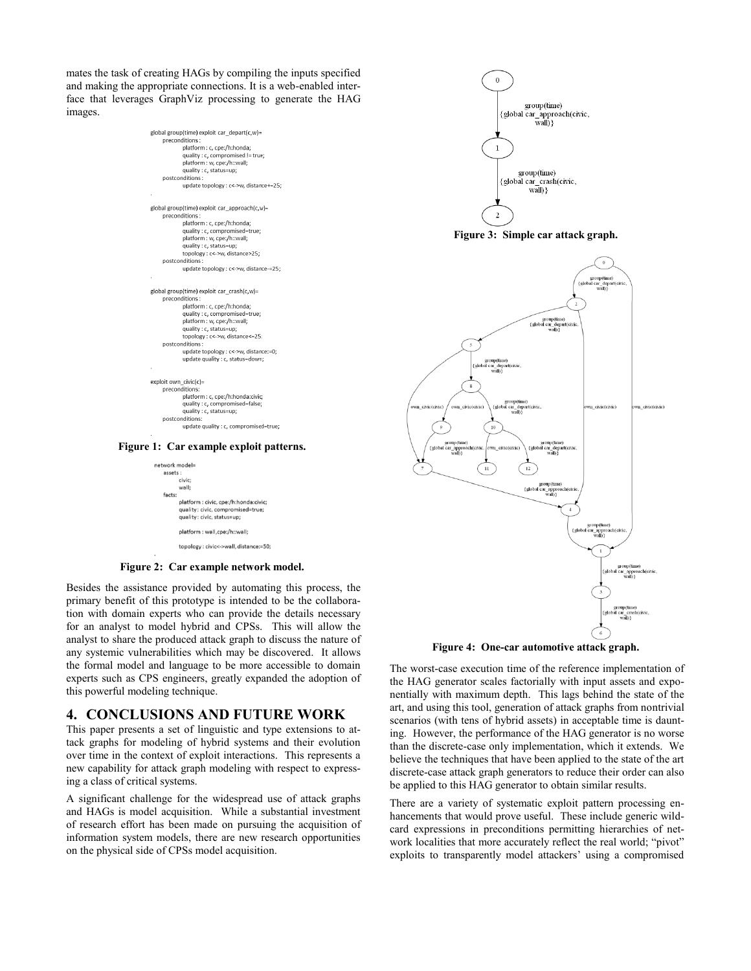mates the task of creating HAGs by compiling the inputs specified and making the appropriate connections. It is a web-enabled interface that leverages GraphViz processing to generate the HAG images.

| global group(time) exploit car depart(c,w)=<br>preconditions:<br>platform: c, cpe:/h:honda;<br>quality : c, compromised != true;<br>platform: w, cpe:/h::wall;<br>quality : c, status=up;<br>postconditions:<br>update topology : c<->w, distance+=25; |  |
|--------------------------------------------------------------------------------------------------------------------------------------------------------------------------------------------------------------------------------------------------------|--|
| global group(time) exploit car_approach(c,w)=                                                                                                                                                                                                          |  |
| preconditions :<br>platform: c, cpe:/h:honda;                                                                                                                                                                                                          |  |
| quality : c, compromised=true;                                                                                                                                                                                                                         |  |
| platform: w, cpe:/h::wall;                                                                                                                                                                                                                             |  |
| quality : c, status=up;                                                                                                                                                                                                                                |  |
| topology: c<- > w. distance > 25:                                                                                                                                                                                                                      |  |
| postconditions:                                                                                                                                                                                                                                        |  |
| update topology : c<- > w, distance-=25;                                                                                                                                                                                                               |  |
|                                                                                                                                                                                                                                                        |  |
| global group(time) exploit car_crash(c,w)=                                                                                                                                                                                                             |  |
| preconditions :                                                                                                                                                                                                                                        |  |
| platform: c, cpe:/h:honda;                                                                                                                                                                                                                             |  |
| quality : c, compromised=true;                                                                                                                                                                                                                         |  |
| platform: w, cpe:/h::wall;                                                                                                                                                                                                                             |  |
| quality : c, status=up;                                                                                                                                                                                                                                |  |
| topology: c<->w, distance<=25:                                                                                                                                                                                                                         |  |
| postconditions:                                                                                                                                                                                                                                        |  |
| update topology : c<- > w, distance: = 0;                                                                                                                                                                                                              |  |
| update quality : c, status=down;                                                                                                                                                                                                                       |  |
| exploit own $civic(c)$ =                                                                                                                                                                                                                               |  |
| preconditions:                                                                                                                                                                                                                                         |  |
| platform : c, cpe:/h:honda:civic;                                                                                                                                                                                                                      |  |
| quality : c, compromised=false;                                                                                                                                                                                                                        |  |
| quality : c, status=up;                                                                                                                                                                                                                                |  |
| postconditions:                                                                                                                                                                                                                                        |  |
| update quality : c, compromised=true;                                                                                                                                                                                                                  |  |
|                                                                                                                                                                                                                                                        |  |





**Figure 2: Car example network model.**

Besides the assistance provided by automating this process, the primary benefit of this prototype is intended to be the collaboration with domain experts who can provide the details necessary for an analyst to model hybrid and CPSs. This will allow the analyst to share the produced attack graph to discuss the nature of any systemic vulnerabilities which may be discovered. It allows the formal model and language to be more accessible to domain experts such as CPS engineers, greatly expanded the adoption of this powerful modeling technique.

#### **4. CONCLUSIONS AND FUTURE WORK**

This paper presents a set of linguistic and type extensions to attack graphs for modeling of hybrid systems and their evolution over time in the context of exploit interactions. This represents a new capability for attack graph modeling with respect to expressing a class of critical systems.

A significant challenge for the widespread use of attack graphs and HAGs is model acquisition. While a substantial investment of research effort has been made on pursuing the acquisition of information system models, there are new research opportunities on the physical side of CPSs model acquisition.



**Figure 3: Simple car attack graph.**



**Figure 4: One-car automotive attack graph.**

The worst-case execution time of the reference implementation of the HAG generator scales factorially with input assets and exponentially with maximum depth. This lags behind the state of the art, and using this tool, generation of attack graphs from nontrivial scenarios (with tens of hybrid assets) in acceptable time is daunting. However, the performance of the HAG generator is no worse than the discrete-case only implementation, which it extends. We believe the techniques that have been applied to the state of the art discrete-case attack graph generators to reduce their order can also be applied to this HAG generator to obtain similar results.

There are a variety of systematic exploit pattern processing enhancements that would prove useful. These include generic wildcard expressions in preconditions permitting hierarchies of network localities that more accurately reflect the real world; "pivot" exploits to transparently model attackers' using a compromised